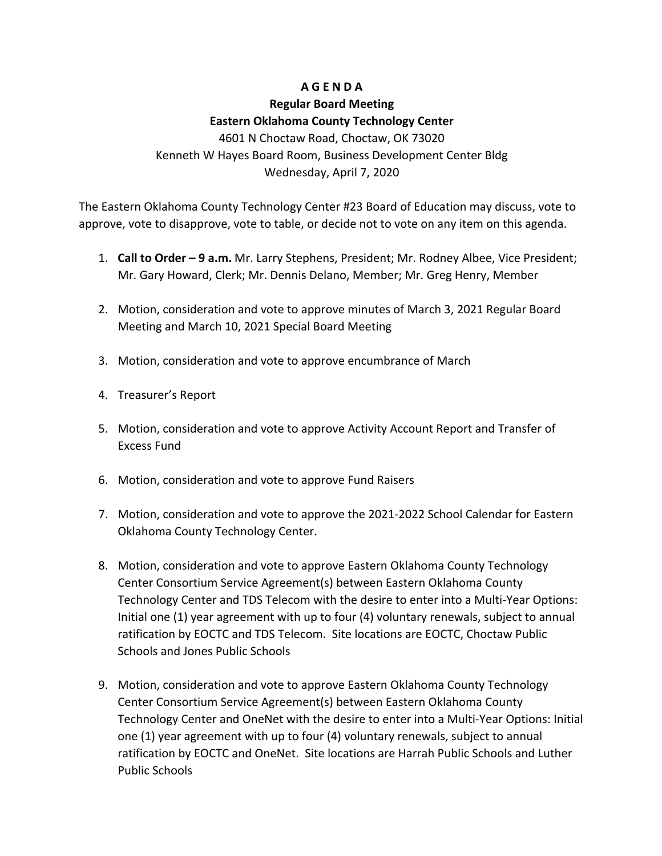## **A G E N D A**

## **Regular Board Meeting Eastern Oklahoma County Technology Center** 4601 N Choctaw Road, Choctaw, OK 73020

Kenneth W Hayes Board Room, Business Development Center Bldg Wednesday, April 7, 2020

The Eastern Oklahoma County Technology Center #23 Board of Education may discuss, vote to approve, vote to disapprove, vote to table, or decide not to vote on any item on this agenda.

- 1. **Call to Order – 9 a.m.** Mr. Larry Stephens, President; Mr. Rodney Albee, Vice President; Mr. Gary Howard, Clerk; Mr. Dennis Delano, Member; Mr. Greg Henry, Member
- 2. Motion, consideration and vote to approve minutes of March 3, 2021 Regular Board Meeting and March 10, 2021 Special Board Meeting
- 3. Motion, consideration and vote to approve encumbrance of March
- 4. Treasurer's Report
- 5. Motion, consideration and vote to approve Activity Account Report and Transfer of Excess Fund
- 6. Motion, consideration and vote to approve Fund Raisers
- 7. Motion, consideration and vote to approve the 2021-2022 School Calendar for Eastern Oklahoma County Technology Center.
- 8. Motion, consideration and vote to approve Eastern Oklahoma County Technology Center Consortium Service Agreement(s) between Eastern Oklahoma County Technology Center and TDS Telecom with the desire to enter into a Multi-Year Options: Initial one (1) year agreement with up to four (4) voluntary renewals, subject to annual ratification by EOCTC and TDS Telecom. Site locations are EOCTC, Choctaw Public Schools and Jones Public Schools
- 9. Motion, consideration and vote to approve Eastern Oklahoma County Technology Center Consortium Service Agreement(s) between Eastern Oklahoma County Technology Center and OneNet with the desire to enter into a Multi-Year Options: Initial one (1) year agreement with up to four (4) voluntary renewals, subject to annual ratification by EOCTC and OneNet. Site locations are Harrah Public Schools and Luther Public Schools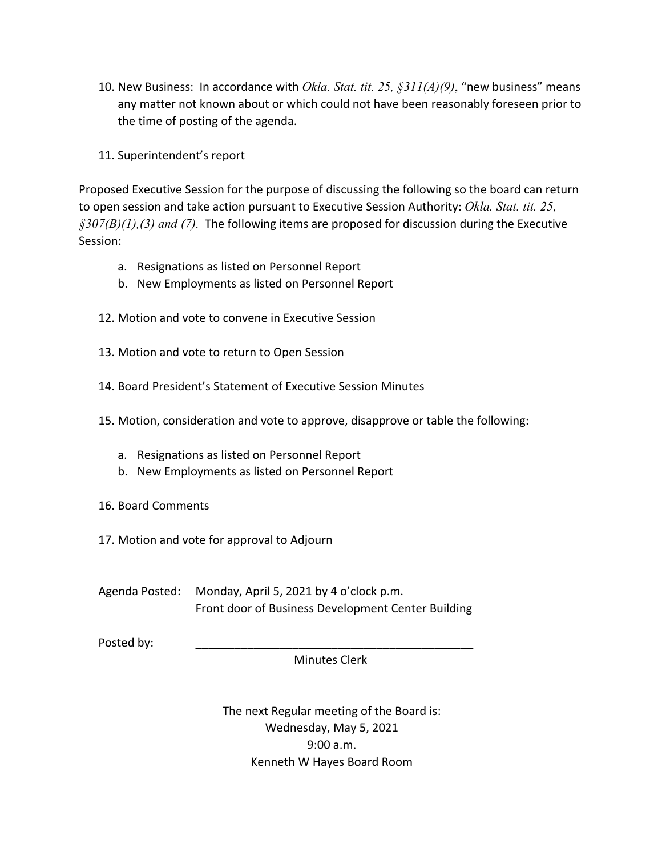- 10. New Business: In accordance with *Okla. Stat. tit. 25, §311(A)(9)*, "new business" means any matter not known about or which could not have been reasonably foreseen prior to the time of posting of the agenda.
- 11. Superintendent's report

Proposed Executive Session for the purpose of discussing the following so the board can return to open session and take action pursuant to Executive Session Authority: *Okla. Stat. tit. 25, §307(B)(1),(3) and (7).* The following items are proposed for discussion during the Executive Session:

- a. Resignations as listed on Personnel Report
- b. New Employments as listed on Personnel Report
- 12. Motion and vote to convene in Executive Session
- 13. Motion and vote to return to Open Session
- 14. Board President's Statement of Executive Session Minutes
- 15. Motion, consideration and vote to approve, disapprove or table the following:
	- a. Resignations as listed on Personnel Report
	- b. New Employments as listed on Personnel Report
- 16. Board Comments
- 17. Motion and vote for approval to Adjourn

Agenda Posted: Monday, April 5, 2021 by 4 o'clock p.m. Front door of Business Development Center Building

Posted by:

Minutes Clerk

The next Regular meeting of the Board is: Wednesday, May 5, 2021 9:00 a.m. Kenneth W Hayes Board Room